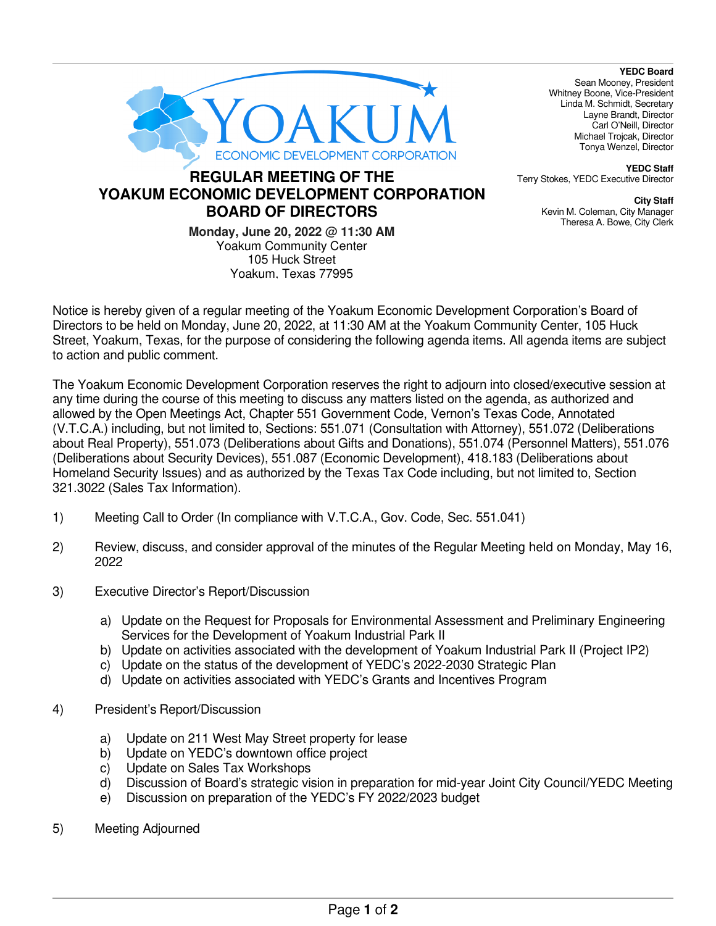

## **REGULAR MEETING OF THE YOAKUM ECONOMIC DEVELOPMENT CORPORATION BOARD OF DIRECTORS**

**Monday, June 20, 2022 @ 11:30 AM**  Yoakum Community Center 105 Huck Street Yoakum, Texas 77995

**YEDC Board**  Sean Mooney, President Whitney Boone, Vice-President Linda M. Schmidt, Secretary Layne Brandt, Director Carl O'Neill, Director Michael Trojcak, Director Tonya Wenzel, Director

**YEDC Staff**  Terry Stokes, YEDC Executive Director

> **City Staff**  Kevin M. Coleman, City Manager Theresa A. Bowe, City Clerk

Notice is hereby given of a regular meeting of the Yoakum Economic Development Corporation's Board of Directors to be held on Monday, June 20, 2022, at 11:30 AM at the Yoakum Community Center, 105 Huck Street, Yoakum, Texas, for the purpose of considering the following agenda items. All agenda items are subject to action and public comment.

The Yoakum Economic Development Corporation reserves the right to adjourn into closed/executive session at any time during the course of this meeting to discuss any matters listed on the agenda, as authorized and allowed by the Open Meetings Act, Chapter 551 Government Code, Vernon's Texas Code, Annotated (V.T.C.A.) including, but not limited to, Sections: 551.071 (Consultation with Attorney), 551.072 (Deliberations about Real Property), 551.073 (Deliberations about Gifts and Donations), 551.074 (Personnel Matters), 551.076 (Deliberations about Security Devices), 551.087 (Economic Development), 418.183 (Deliberations about Homeland Security Issues) and as authorized by the Texas Tax Code including, but not limited to, Section 321.3022 (Sales Tax Information).

- 1) Meeting Call to Order (In compliance with V.T.C.A., Gov. Code, Sec. 551.041)
- 2) Review, discuss, and consider approval of the minutes of the Regular Meeting held on Monday, May 16, 2022
- 3) Executive Director's Report/Discussion
	- a) Update on the Request for Proposals for Environmental Assessment and Preliminary Engineering Services for the Development of Yoakum Industrial Park II
	- b) Update on activities associated with the development of Yoakum Industrial Park II (Project IP2)
	- c) Update on the status of the development of YEDC's 2022-2030 Strategic Plan
	- d) Update on activities associated with YEDC's Grants and Incentives Program
- 4) President's Report/Discussion
	- a) Update on 211 West May Street property for lease
	- b) Update on YEDC's downtown office project
	- c) Update on Sales Tax Workshops
	- d) Discussion of Board's strategic vision in preparation for mid-year Joint City Council/YEDC Meeting
	- e) Discussion on preparation of the YEDC's FY 2022/2023 budget
- 5) Meeting Adjourned